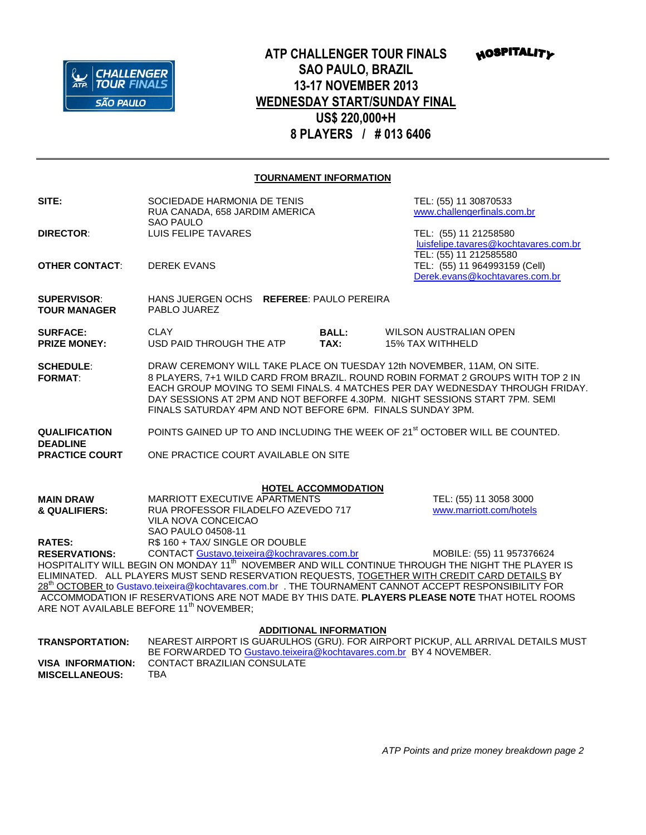

## **ATP CHALLENGER TOUR FINALS SAO PAULO, BRAZIL 13-17 NOVEMBER 2013 WEDNESDAY START/SUNDAY FINAL US\$ 220,000+H 8 PLAYERS / # 013 6406**

**HOSPITALITY** 

## **TOURNAMENT INFORMATION**

| SITE:                                                                                                                                                | SOCIEDADE HARMONIA DE TENIS<br>RUA CANADA, 658 JARDIM AMERICA<br>SAO PAULO                                                                                                                                                                                                                                                                                                             |  |                               |  | TEL: (55) 11 30870533<br>www.challengerfinals.com.br                                     |  |
|------------------------------------------------------------------------------------------------------------------------------------------------------|----------------------------------------------------------------------------------------------------------------------------------------------------------------------------------------------------------------------------------------------------------------------------------------------------------------------------------------------------------------------------------------|--|-------------------------------|--|------------------------------------------------------------------------------------------|--|
| <b>DIRECTOR:</b>                                                                                                                                     | LUIS FELIPE TAVARES                                                                                                                                                                                                                                                                                                                                                                    |  |                               |  | TEL: (55) 11 21258580<br>luisfelipe.tavares@kochtavares.com.br<br>TEL: (55) 11 212585580 |  |
| <b>OTHER CONTACT:</b>                                                                                                                                | <b>DEREK EVANS</b>                                                                                                                                                                                                                                                                                                                                                                     |  |                               |  | TEL: (55) 11 964993159 (Cell)<br>Derek.evans@kochtavares.com.br                          |  |
| <b>SUPERVISOR:</b><br><b>TOUR MANAGER</b>                                                                                                            | HANS JUERGEN OCHS REFEREE: PAULO PEREIRA<br>PABLO JUAREZ                                                                                                                                                                                                                                                                                                                               |  |                               |  |                                                                                          |  |
| <b>SURFACE:</b><br><b>PRIZE MONEY:</b>                                                                                                               | <b>CLAY</b><br>USD PAID THROUGH THE ATP                                                                                                                                                                                                                                                                                                                                                |  | <b>BALL:</b><br>TAX:          |  | <b>WILSON AUSTRALIAN OPEN</b><br><b>15% TAX WITHHELD</b>                                 |  |
| <b>SCHEDULE:</b><br><b>FORMAT:</b>                                                                                                                   | DRAW CEREMONY WILL TAKE PLACE ON TUESDAY 12th NOVEMBER, 11AM, ON SITE.<br>8 PLAYERS, 7+1 WILD CARD FROM BRAZIL. ROUND ROBIN FORMAT 2 GROUPS WITH TOP 2 IN<br>EACH GROUP MOVING TO SEMI FINALS. 4 MATCHES PER DAY WEDNESDAY THROUGH FRIDAY.<br>DAY SESSIONS AT 2PM AND NOT BEFORFE 4.30PM. NIGHT SESSIONS START 7PM. SEMI<br>FINALS SATURDAY 4PM AND NOT BEFORE 6PM. FINALS SUNDAY 3PM. |  |                               |  |                                                                                          |  |
| <b>QUALIFICATION</b><br><b>DEADLINE</b>                                                                                                              |                                                                                                                                                                                                                                                                                                                                                                                        |  |                               |  | POINTS GAINED UP TO AND INCLUDING THE WEEK OF 21 <sup>st</sup> OCTOBER WILL BE COUNTED.  |  |
| <b>PRACTICE COURT</b>                                                                                                                                | ONE PRACTICE COURT AVAILABLE ON SITE                                                                                                                                                                                                                                                                                                                                                   |  |                               |  |                                                                                          |  |
|                                                                                                                                                      |                                                                                                                                                                                                                                                                                                                                                                                        |  | <b>HOTEL ACCOMMODATION</b>    |  |                                                                                          |  |
| <b>MAIN DRAW</b><br>& QUALIFIERS:                                                                                                                    | MARRIOTT EXECUTIVE APARTMENTS<br>RUA PROFESSOR FILADELFO AZEVEDO 717                                                                                                                                                                                                                                                                                                                   |  |                               |  | TEL: (55) 11 3058 3000<br>www.marriott.com/hotels                                        |  |
|                                                                                                                                                      | VILA NOVA CONCEICAO                                                                                                                                                                                                                                                                                                                                                                    |  |                               |  |                                                                                          |  |
| <b>RATES:</b>                                                                                                                                        | SAO PAULO 04508-11<br>R\$ 160 + TAX/ SINGLE OR DOUBLE                                                                                                                                                                                                                                                                                                                                  |  |                               |  |                                                                                          |  |
| <b>RESERVATIONS:</b>                                                                                                                                 | CONTACT Gustavo.teixeira@kochravares.com.br                                                                                                                                                                                                                                                                                                                                            |  |                               |  | MOBILE: (55) 11 957376624                                                                |  |
| HOSPITALITY WILL BEGIN ON MONDAY 11 <sup>th</sup> NOVEMBER AND WILL CONTINUE THROUGH THE NIGHT THE PLAYER IS                                         |                                                                                                                                                                                                                                                                                                                                                                                        |  |                               |  |                                                                                          |  |
| ELIMINATED. ALL PLAYERS MUST SEND RESERVATION REQUESTS, TOGETHER WITH CREDIT CARD DETAILS BY                                                         |                                                                                                                                                                                                                                                                                                                                                                                        |  |                               |  |                                                                                          |  |
| 28 <sup>th</sup> OCTOBER to Gustavo.teixeira@kochtavares.com.br . THE TOURNAMENT CANNOT ACCEPT RESPONSIBILITY FOR                                    |                                                                                                                                                                                                                                                                                                                                                                                        |  |                               |  |                                                                                          |  |
| ACCOMMODATION IF RESERVATIONS ARE NOT MADE BY THIS DATE. PLAYERS PLEASE NOTE THAT HOTEL ROOMS<br>ARE NOT AVAILABLE BEFORE 11 <sup>th</sup> NOVEMBER; |                                                                                                                                                                                                                                                                                                                                                                                        |  |                               |  |                                                                                          |  |
|                                                                                                                                                      |                                                                                                                                                                                                                                                                                                                                                                                        |  |                               |  |                                                                                          |  |
|                                                                                                                                                      |                                                                                                                                                                                                                                                                                                                                                                                        |  | <b>ADDITIONAL INFORMATION</b> |  |                                                                                          |  |
| <b>TRANSPORTATION:</b>                                                                                                                               | NEAREST AIRPORT IS GUARULHOS (GRU). FOR AIRPORT PICKUP, ALL ARRIVAL DETAILS MUST<br>BE FORWARDED TO Gustavo.teixeira@kochtavares.com.br BY 4 NOVEMBER.                                                                                                                                                                                                                                 |  |                               |  |                                                                                          |  |
| <b>VISA INFORMATION:</b>                                                                                                                             | <b>CONTACT BRAZILIAN CONSULATE</b>                                                                                                                                                                                                                                                                                                                                                     |  |                               |  |                                                                                          |  |
| <b>MISCELLANEOUS:</b>                                                                                                                                | <b>TBA</b>                                                                                                                                                                                                                                                                                                                                                                             |  |                               |  |                                                                                          |  |

*ATP Points and prize money breakdown page 2*